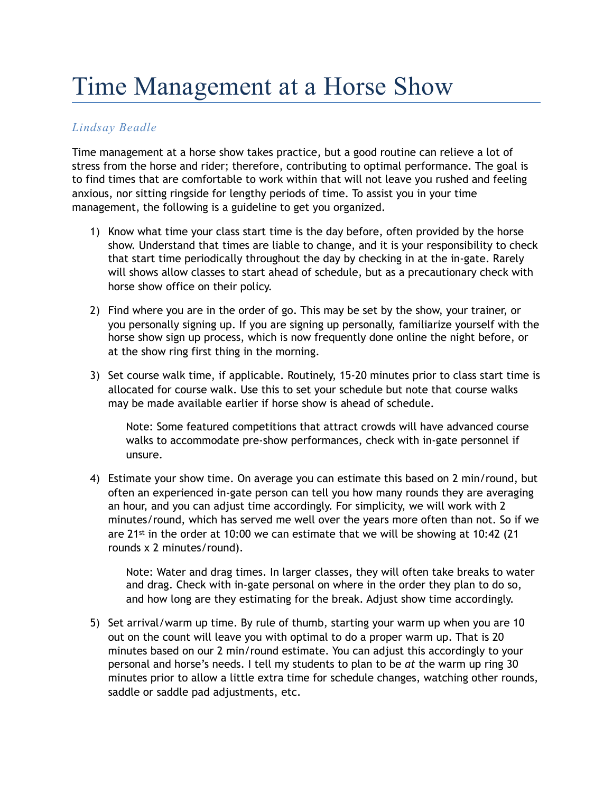## Time Management at a Horse Show

## *Lindsay Beadle*

Time management at a horse show takes practice, but a good routine can relieve a lot of stress from the horse and rider; therefore, contributing to optimal performance. The goal is to find times that are comfortable to work within that will not leave you rushed and feeling anxious, nor sitting ringside for lengthy periods of time. To assist you in your time management, the following is a guideline to get you organized.

- 1) Know what time your class start time is the day before, often provided by the horse show. Understand that times are liable to change, and it is your responsibility to check that start time periodically throughout the day by checking in at the in-gate. Rarely will shows allow classes to start ahead of schedule, but as a precautionary check with horse show office on their policy.
- 2) Find where you are in the order of go. This may be set by the show, your trainer, or you personally signing up. If you are signing up personally, familiarize yourself with the horse show sign up process, which is now frequently done online the night before, or at the show ring first thing in the morning.
- 3) Set course walk time, if applicable. Routinely, 15-20 minutes prior to class start time is allocated for course walk. Use this to set your schedule but note that course walks may be made available earlier if horse show is ahead of schedule.

Note: Some featured competitions that attract crowds will have advanced course walks to accommodate pre-show performances, check with in-gate personnel if unsure.

4) Estimate your show time. On average you can estimate this based on 2 min/round, but often an experienced in-gate person can tell you how many rounds they are averaging an hour, and you can adjust time accordingly. For simplicity, we will work with 2 minutes/round, which has served me well over the years more often than not. So if we are  $21^{st}$  in the order at 10:00 we can estimate that we will be showing at 10:42 (21 rounds x 2 minutes/round).

Note: Water and drag times. In larger classes, they will often take breaks to water and drag. Check with in-gate personal on where in the order they plan to do so, and how long are they estimating for the break. Adjust show time accordingly.

5) Set arrival/warm up time. By rule of thumb, starting your warm up when you are 10 out on the count will leave you with optimal to do a proper warm up. That is 20 minutes based on our 2 min/round estimate. You can adjust this accordingly to your personal and horse's needs. I tell my students to plan to be *at* the warm up ring 30 minutes prior to allow a little extra time for schedule changes, watching other rounds, saddle or saddle pad adjustments, etc.